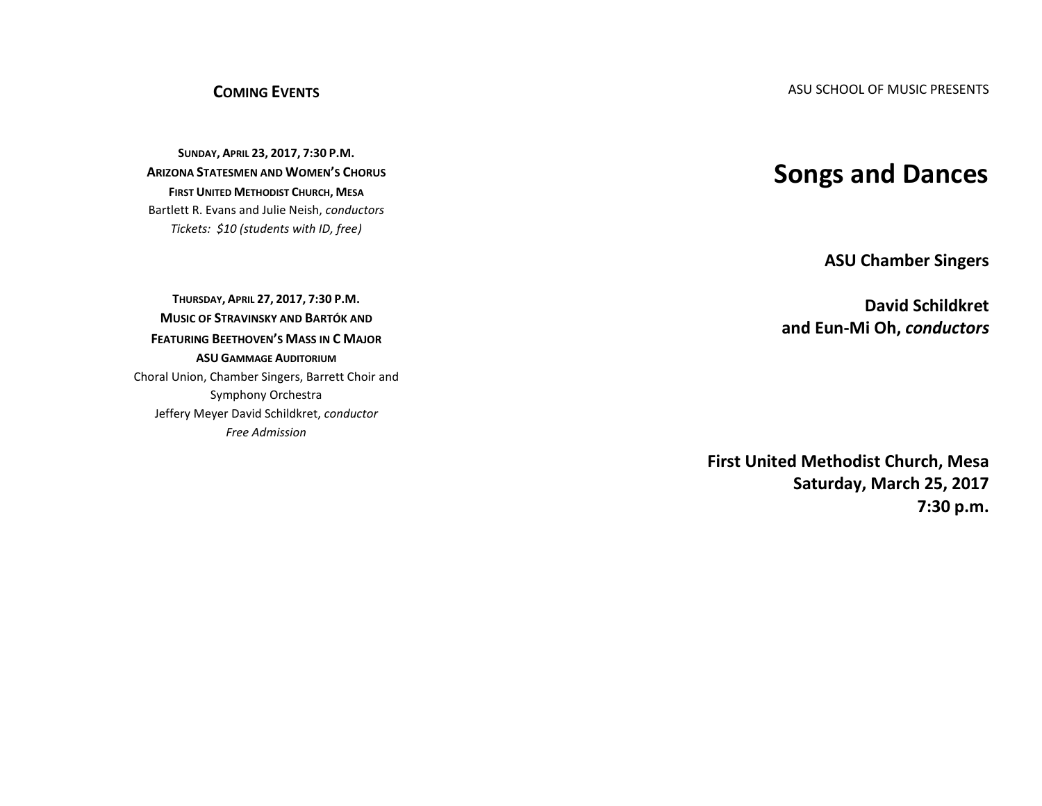## **COMING EVENTS**

**SUNDAY, APRIL 23, 2017, 7:30 P.M. ARIZONA STATESMEN AND WOMEN'S CHORUS FIRST UNITED METHODIST CHURCH, MESA** Bartlett R. Evans and Julie Neish, *conductors Tickets: \$10 (students with ID, free)*

**THURSDAY, APRIL 27, 2017, 7:30 P.M. MUSIC OF STRAVINSKY AND BARTÓK AND FEATURING BEETHOVEN'S MASS IN C MAJOR ASU GAMMAGE AUDITORIUM** Choral Union, Chamber Singers, Barrett Choir and Symphony Orchestra Jeffery Meyer David Schildkret, *conductor Free Admission*

## **Songs and Dances**

**ASU Chamber Singers**

**David Schildkret and Eun-Mi Oh,** *conductors*

**First United Methodist Church, Mesa Saturday, March 25, 2017 7:30 p.m.**